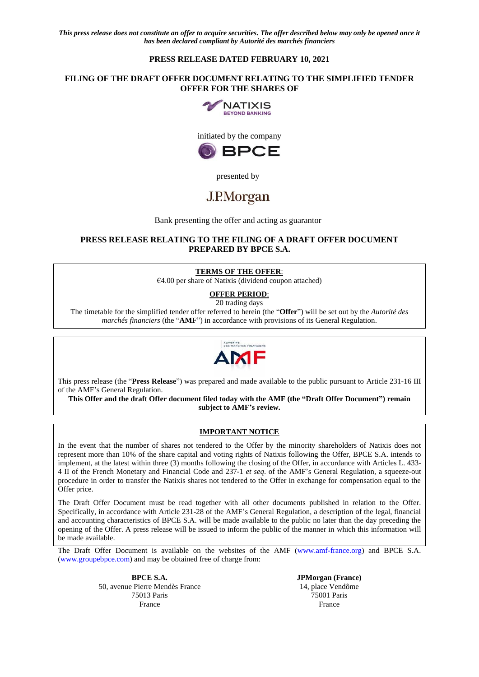## **PRESS RELEASE DATED FEBRUARY 10, 2021**

### **FILING OF THE DRAFT OFFER DOCUMENT RELATING TO THE SIMPLIFIED TENDER OFFER FOR THE SHARES OF**



initiated by the company



presented by

# J.P.Morgan

Bank presenting the offer and acting as guarantor

## **PRESS RELEASE RELATING TO THE FILING OF A DRAFT OFFER DOCUMENT PREPARED BY BPCE S.A.**

### **TERMS OF THE OFFER**:

€4.00 per share of Natixis (dividend coupon attached)

### **OFFER PERIOD**: 20 trading days

The timetable for the simplified tender offer referred to herein (the "**Offer**") will be set out by the *Autorité des marchés financiers* (the "**AMF**") in accordance with provisions of its General Regulation.



This press release (the "**Press Release**") was prepared and made available to the public pursuant to Article 231-16 III of the AMF's General Regulation.

**This Offer and the draft Offer document filed today with the AMF (the "Draft Offer Document") remain subject to AMF's review.**

**IMPORTANT NOTICE**

In the event that the number of shares not tendered to the Offer by the minority shareholders of Natixis does not represent more than 10% of the share capital and voting rights of Natixis following the Offer, BPCE S.A. intends to implement, at the latest within three (3) months following the closing of the Offer, in accordance with Articles L. 433- 4 II of the French Monetary and Financial Code and 237-1 *et seq*. of the AMF's General Regulation, a squeeze-out procedure in order to transfer the Natixis shares not tendered to the Offer in exchange for compensation equal to the Offer price.

The Draft Offer Document must be read together with all other documents published in relation to the Offer. Specifically, in accordance with Article 231-28 of the AMF's General Regulation, a description of the legal, financial and accounting characteristics of BPCE S.A. will be made available to the public no later than the day preceding the opening of the Offer. A press release will be issued to inform the public of the manner in which this information will be made available.

The Draft Offer Document is available on the websites of the AMF (www.amf-france.org) and BPCE S.A. (www.groupebpce.com) and may be obtained free of charge from:

> **BPCE S.A.** 50, avenue Pierre Mendès France 75013 Paris France

**JPMorgan (France)** 14, place Vendôme 75001 Paris France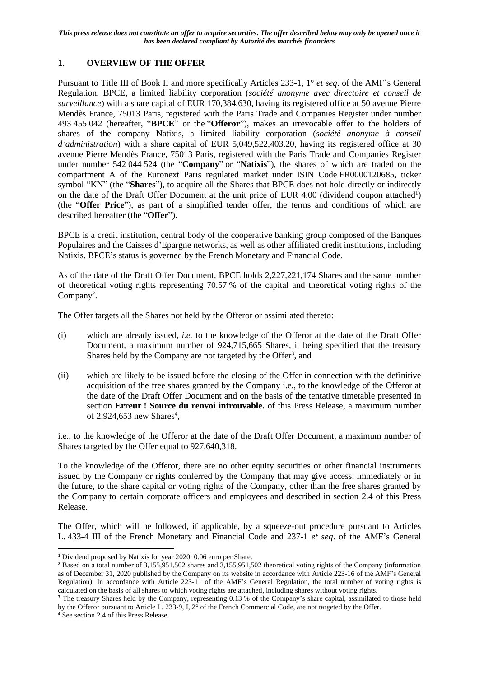## **1. OVERVIEW OF THE OFFER**

Pursuant to Title III of Book II and more specifically Articles 233-1, 1° *et seq*. of the AMF's General Regulation, BPCE, a limited liability corporation (*société anonyme avec directoire et conseil de surveillance*) with a share capital of EUR 170,384,630, having its registered office at 50 avenue Pierre Mendès France, 75013 Paris, registered with the Paris Trade and Companies Register under number 493 455 042 (hereafter, "**BPCE**" or the "**Offeror**"), makes an irrevocable offer to the holders of shares of the company Natixis, a limited liability corporation (*société anonyme à conseil d'administration*) with a share capital of EUR 5,049,522,403.20, having its registered office at 30 avenue Pierre Mendès France, 75013 Paris, registered with the Paris Trade and Companies Register under number 542 044 524 (the "**Company**" or "**Natixis**"), the shares of which are traded on the compartment A of the Euronext Paris regulated market under ISIN Code FR0000120685, ticker symbol "KN" (the "**Shares**"), to acquire all the Shares that BPCE does not hold directly or indirectly on the date of the Draft Offer Document at the unit price of EUR 4.00 (dividend coupon attached<sup>1</sup>) (the "**Offer Price**"), as part of a simplified tender offer, the terms and conditions of which are described hereafter (the "**Offer**").

BPCE is a credit institution, central body of the cooperative banking group composed of the Banques Populaires and the Caisses d'Epargne networks, as well as other affiliated credit institutions, including Natixis. BPCE's status is governed by the French Monetary and Financial Code.

As of the date of the Draft Offer Document, BPCE holds 2,227,221,174 Shares and the same number of theoretical voting rights representing 70.57 % of the capital and theoretical voting rights of the Company<sup>2</sup>.

The Offer targets all the Shares not held by the Offeror or assimilated thereto:

- (i) which are already issued, *i.e.* to the knowledge of the Offeror at the date of the Draft Offer Document, a maximum number of 924,715,665 Shares, it being specified that the treasury Shares held by the Company are not targeted by the Offer<sup>3</sup>, and
- (ii) which are likely to be issued before the closing of the Offer in connection with the definitive acquisition of the free shares granted by the Company i.e., to the knowledge of the Offeror at the date of the Draft Offer Document and on the basis of the tentative timetable presented in section **Erreur ! Source du renvoi introuvable.** of this Press Release, a maximum number of 2,924,653 new Shares<sup>4</sup>,

i.e., to the knowledge of the Offeror at the date of the Draft Offer Document, a maximum number of Shares targeted by the Offer equal to 927,640,318.

To the knowledge of the Offeror, there are no other equity securities or other financial instruments issued by the Company or rights conferred by the Company that may give access, immediately or in the future, to the share capital or voting rights of the Company, other than the free shares granted by the Company to certain corporate officers and employees and described in section 2.4 of this Press Release.

The Offer, which will be followed, if applicable, by a squeeze-out procedure pursuant to Articles L. 433-4 III of the French Monetary and Financial Code and 237-1 *et seq*. of the AMF's General

**<sup>1</sup>** Dividend proposed by Natixis for year 2020: 0.06 euro per Share.

**<sup>2</sup>** Based on a total number of 3,155,951,502 shares and 3,155,951,502 theoretical voting rights of the Company (information as of December 31, 2020 published by the Company on its website in accordance with Article 223-16 of the AMF's General Regulation). In accordance with Article 223-11 of the AMF's General Regulation, the total number of voting rights is calculated on the basis of all shares to which voting rights are attached, including shares without voting rights.

<sup>&</sup>lt;sup>3</sup> The treasury Shares held by the Company, representing 0.13 % of the Company's share capital, assimilated to those held by the Offeror pursuant to Article L. 233-9, I, 2° of the French Commercial Code, are not targeted by the Offer.

**<sup>4</sup>** See section 2.4 of this Press Release.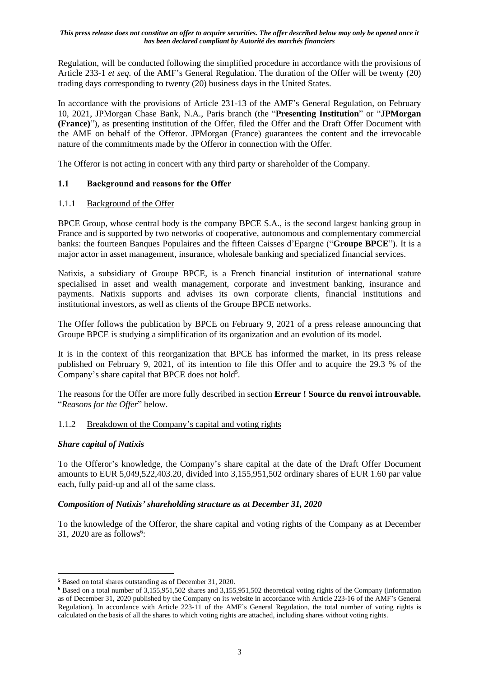Regulation, will be conducted following the simplified procedure in accordance with the provisions of Article 233-1 *et seq.* of the AMF's General Regulation. The duration of the Offer will be twenty (20) trading days corresponding to twenty (20) business days in the United States.

In accordance with the provisions of Article 231-13 of the AMF's General Regulation, on February 10, 2021, JPMorgan Chase Bank, N.A., Paris branch (the "**Presenting Institution**" or "**JPMorgan (France)**"), as presenting institution of the Offer, filed the Offer and the Draft Offer Document with the AMF on behalf of the Offeror. JPMorgan (France) guarantees the content and the irrevocable nature of the commitments made by the Offeror in connection with the Offer.

The Offeror is not acting in concert with any third party or shareholder of the Company.

## **1.1 Background and reasons for the Offer**

## 1.1.1 Background of the Offer

BPCE Group, whose central body is the company BPCE S.A., is the second largest banking group in France and is supported by two networks of cooperative, autonomous and complementary commercial banks: the fourteen Banques Populaires and the fifteen Caisses d'Epargne ("**Groupe BPCE**"). It is a major actor in asset management, insurance, wholesale banking and specialized financial services.

Natixis, a subsidiary of Groupe BPCE, is a French financial institution of international stature specialised in asset and wealth management, corporate and investment banking, insurance and payments. Natixis supports and advises its own corporate clients, financial institutions and institutional investors, as well as clients of the Groupe BPCE networks.

The Offer follows the publication by BPCE on February 9, 2021 of a press release announcing that Groupe BPCE is studying a simplification of its organization and an evolution of its model.

It is in the context of this reorganization that BPCE has informed the market, in its press release published on February 9, 2021, of its intention to file this Offer and to acquire the 29.3 % of the Company's share capital that BPCE does not hold<sup>5</sup>.

The reasons for the Offer are more fully described in section **Erreur ! Source du renvoi introuvable.** "*Reasons for the Offer*" below.

## 1.1.2 Breakdown of the Company's capital and voting rights

## *Share capital of Natixis*

To the Offeror's knowledge, the Company's share capital at the date of the Draft Offer Document amounts to EUR 5,049,522,403.20, divided into 3,155,951,502 ordinary shares of EUR 1.60 par value each, fully paid-up and all of the same class.

## *Composition of Natixis' shareholding structure as at December 31, 2020*

To the knowledge of the Offeror, the share capital and voting rights of the Company as at December  $31, 2020$  are as follows<sup>6</sup>:

**<sup>5</sup>** Based on total shares outstanding as of December 31, 2020.

**<sup>6</sup>** Based on a total number of 3,155,951,502 shares and 3,155,951,502 theoretical voting rights of the Company (information as of December 31, 2020 published by the Company on its website in accordance with Article 223-16 of the AMF's General Regulation). In accordance with Article 223-11 of the AMF's General Regulation, the total number of voting rights is calculated on the basis of all the shares to which voting rights are attached, including shares without voting rights.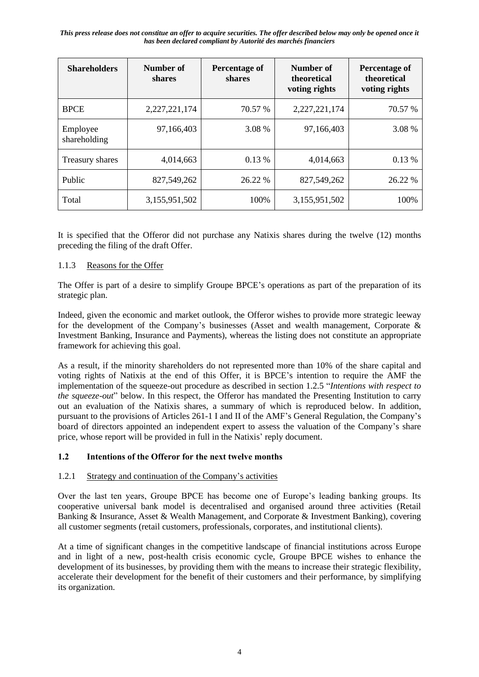| <b>Shareholders</b>      | Number of<br>shares | Percentage of<br>shares | Number of<br>theoretical<br>voting rights | Percentage of<br>theoretical<br>voting rights |
|--------------------------|---------------------|-------------------------|-------------------------------------------|-----------------------------------------------|
| <b>BPCE</b>              | 2,227,221,174       | 70.57 %                 | 2,227,221,174                             | 70.57 %                                       |
| Employee<br>shareholding | 97,166,403          | 3.08 %                  | 97,166,403                                | 3.08 %                                        |
| Treasury shares          | 4,014,663           | 0.13 %                  | 4,014,663                                 | 0.13 %                                        |
| Public                   | 827,549,262         | 26.22 %                 | 827,549,262                               | 26.22 %                                       |
| Total                    | 3,155,951,502       | 100\%                   | 3,155,951,502                             | 100%                                          |

It is specified that the Offeror did not purchase any Natixis shares during the twelve (12) months preceding the filing of the draft Offer.

## 1.1.3 Reasons for the Offer

The Offer is part of a desire to simplify Groupe BPCE's operations as part of the preparation of its strategic plan.

Indeed, given the economic and market outlook, the Offeror wishes to provide more strategic leeway for the development of the Company's businesses (Asset and wealth management, Corporate & Investment Banking, Insurance and Payments), whereas the listing does not constitute an appropriate framework for achieving this goal.

As a result, if the minority shareholders do not represented more than 10% of the share capital and voting rights of Natixis at the end of this Offer, it is BPCE's intention to require the AMF the implementation of the squeeze-out procedure as described in section 1.2.5 "*Intentions with respect to the squeeze-out*" below. In this respect, the Offeror has mandated the Presenting Institution to carry out an evaluation of the Natixis shares, a summary of which is reproduced below. In addition, pursuant to the provisions of Articles 261-1 I and II of the AMF's General Regulation, the Company's board of directors appointed an independent expert to assess the valuation of the Company's share price, whose report will be provided in full in the Natixis' reply document.

## **1.2 Intentions of the Offeror for the next twelve months**

## 1.2.1 Strategy and continuation of the Company's activities

Over the last ten years, Groupe BPCE has become one of Europe's leading banking groups. Its cooperative universal bank model is decentralised and organised around three activities (Retail Banking & Insurance, Asset & Wealth Management, and Corporate & Investment Banking), covering all customer segments (retail customers, professionals, corporates, and institutional clients).

At a time of significant changes in the competitive landscape of financial institutions across Europe and in light of a new, post-health crisis economic cycle, Groupe BPCE wishes to enhance the development of its businesses, by providing them with the means to increase their strategic flexibility, accelerate their development for the benefit of their customers and their performance, by simplifying its organization.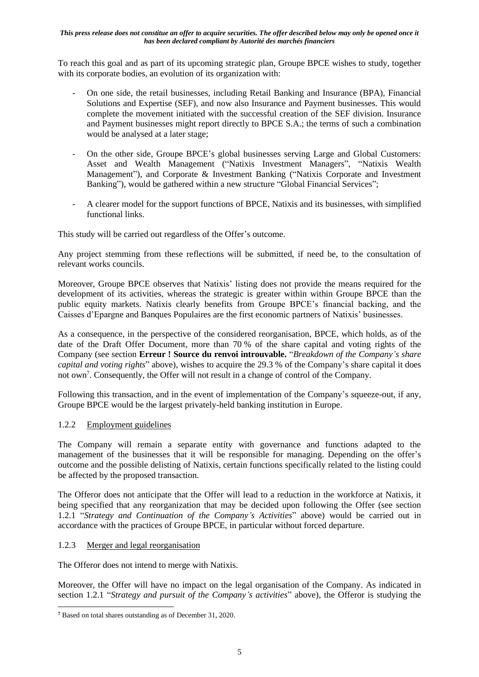To reach this goal and as part of its upcoming strategic plan, Groupe BPCE wishes to study, together with its corporate bodies, an evolution of its organization with:

- On one side, the retail businesses, including Retail Banking and Insurance (BPA), Financial Solutions and Expertise (SEF), and now also Insurance and Payment businesses. This would complete the movement initiated with the successful creation of the SEF division. Insurance and Payment businesses might report directly to BPCE S.A.; the terms of such a combination would be analysed at a later stage;
- On the other side, Groupe BPCE's global businesses serving Large and Global Customers: Asset and Wealth Management ("Natixis Investment Managers", "Natixis Wealth Management"), and Corporate & Investment Banking ("Natixis Corporate and Investment Banking"), would be gathered within a new structure "Global Financial Services";
- A clearer model for the support functions of BPCE, Natixis and its businesses, with simplified functional links.

This study will be carried out regardless of the Offer's outcome.

Any project stemming from these reflections will be submitted, if need be, to the consultation of relevant works councils.

Moreover, Groupe BPCE observes that Natixis' listing does not provide the means required for the development of its activities, whereas the strategic is greater within within Groupe BPCE than the public equity markets. Natixis clearly benefits from Groupe BPCE's financial backing, and the Caisses d'Epargne and Banques Populaires are the first economic partners of Natixis' businesses.

As a consequence, in the perspective of the considered reorganisation, BPCE, which holds, as of the date of the Draft Offer Document, more than 70 % of the share capital and voting rights of the Company (see section **Erreur ! Source du renvoi introuvable.** "*Breakdown of the Company's share capital and voting rights*" above), wishes to acquire the 29.3 % of the Company's share capital it does not own<sup>7</sup>. Consequently, the Offer will not result in a change of control of the Company.

Following this transaction, and in the event of implementation of the Company's squeeze-out, if any, Groupe BPCE would be the largest privately-held banking institution in Europe.

## 1.2.2 Employment guidelines

The Company will remain a separate entity with governance and functions adapted to the management of the businesses that it will be responsible for managing. Depending on the offer's outcome and the possible delisting of Natixis, certain functions specifically related to the listing could be affected by the proposed transaction.

The Offeror does not anticipate that the Offer will lead to a reduction in the workforce at Natixis, it being specified that any reorganization that may be decided upon following the Offer (see section 1.2.1 "*Strategy and Continuation of the Company's Activities*" above) would be carried out in accordance with the practices of Groupe BPCE, in particular without forced departure.

## 1.2.3 Merger and legal reorganisation

The Offeror does not intend to merge with Natixis.

Moreover, the Offer will have no impact on the legal organisation of the Company. As indicated in section 1.2.1 "*Strategy and pursuit of the Company's activities*" above), the Offeror is studying the

**<sup>7</sup>** Based on total shares outstanding as of December 31, 2020.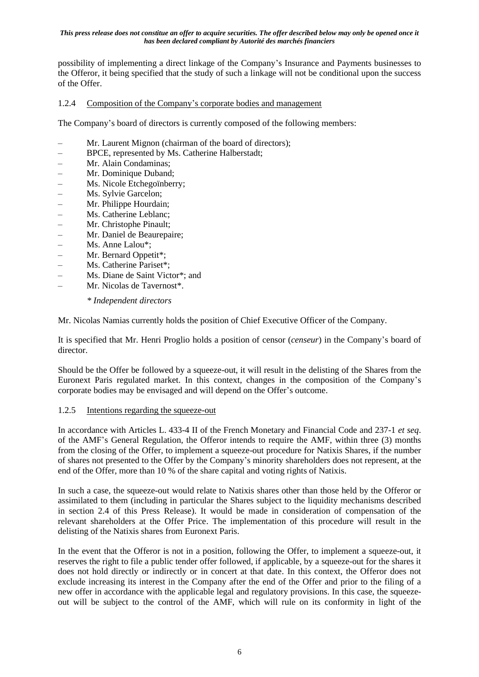possibility of implementing a direct linkage of the Company's Insurance and Payments businesses to the Offeror, it being specified that the study of such a linkage will not be conditional upon the success of the Offer.

## 1.2.4 Composition of the Company's corporate bodies and management

The Company's board of directors is currently composed of the following members:

- ‒ Mr. Laurent Mignon (chairman of the board of directors);
- ‒ BPCE, represented by Ms. Catherine Halberstadt;
- ‒ Mr. Alain Condaminas;
- ‒ Mr. Dominique Duband;
- ‒ Ms. Nicole Etchegoïnberry;
- Ms. Sylvie Garcelon;
- ‒ Mr. Philippe Hourdain;
- ‒ Ms. Catherine Leblanc;
- ‒ Mr. Christophe Pinault;
- ‒ Mr. Daniel de Beaurepaire;
- ‒ Ms. Anne Lalou\*;
- ‒ Mr. Bernard Oppetit\*;
- ‒ Ms. Catherine Pariset\*;
- ‒ Ms. Diane de Saint Victor\*; and
- ‒ Mr. Nicolas de Tavernost\*.

## *\* Independent directors*

Mr. Nicolas Namias currently holds the position of Chief Executive Officer of the Company.

It is specified that Mr. Henri Proglio holds a position of censor (*censeur*) in the Company's board of director.

Should be the Offer be followed by a squeeze-out, it will result in the delisting of the Shares from the Euronext Paris regulated market. In this context, changes in the composition of the Company's corporate bodies may be envisaged and will depend on the Offer's outcome.

## 1.2.5 Intentions regarding the squeeze-out

In accordance with Articles L. 433-4 II of the French Monetary and Financial Code and 237-1 *et seq*. of the AMF's General Regulation, the Offeror intends to require the AMF, within three (3) months from the closing of the Offer, to implement a squeeze-out procedure for Natixis Shares, if the number of shares not presented to the Offer by the Company's minority shareholders does not represent, at the end of the Offer, more than 10 % of the share capital and voting rights of Natixis.

In such a case, the squeeze-out would relate to Natixis shares other than those held by the Offeror or assimilated to them (including in particular the Shares subject to the liquidity mechanisms described in section 2.4 of this Press Release). It would be made in consideration of compensation of the relevant shareholders at the Offer Price. The implementation of this procedure will result in the delisting of the Natixis shares from Euronext Paris.

In the event that the Offeror is not in a position, following the Offer, to implement a squeeze-out, it reserves the right to file a public tender offer followed, if applicable, by a squeeze-out for the shares it does not hold directly or indirectly or in concert at that date. In this context, the Offeror does not exclude increasing its interest in the Company after the end of the Offer and prior to the filing of a new offer in accordance with the applicable legal and regulatory provisions. In this case, the squeezeout will be subject to the control of the AMF, which will rule on its conformity in light of the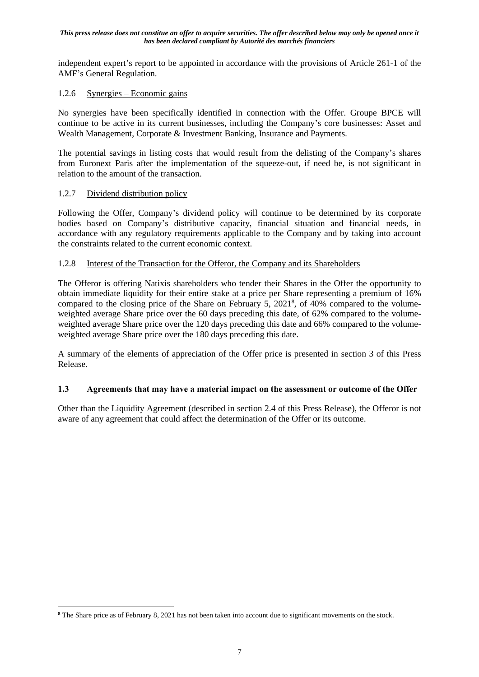independent expert's report to be appointed in accordance with the provisions of Article 261-1 of the AMF's General Regulation.

## 1.2.6 Synergies – Economic gains

No synergies have been specifically identified in connection with the Offer. Groupe BPCE will continue to be active in its current businesses, including the Company's core businesses: Asset and Wealth Management, Corporate & Investment Banking, Insurance and Payments.

The potential savings in listing costs that would result from the delisting of the Company's shares from Euronext Paris after the implementation of the squeeze-out, if need be, is not significant in relation to the amount of the transaction.

## 1.2.7 Dividend distribution policy

Following the Offer, Company's dividend policy will continue to be determined by its corporate bodies based on Company's distributive capacity, financial situation and financial needs, in accordance with any regulatory requirements applicable to the Company and by taking into account the constraints related to the current economic context.

## 1.2.8 Interest of the Transaction for the Offeror, the Company and its Shareholders

The Offeror is offering Natixis shareholders who tender their Shares in the Offer the opportunity to obtain immediate liquidity for their entire stake at a price per Share representing a premium of 16% compared to the closing price of the Share on February 5, 2021<sup>8</sup>, of 40% compared to the volumeweighted average Share price over the 60 days preceding this date, of 62% compared to the volumeweighted average Share price over the 120 days preceding this date and 66% compared to the volumeweighted average Share price over the 180 days preceding this date.

A summary of the elements of appreciation of the Offer price is presented in section 3 of this Press Release.

## **1.3 Agreements that may have a material impact on the assessment or outcome of the Offer**

Other than the Liquidity Agreement (described in section 2.4 of this Press Release), the Offeror is not aware of any agreement that could affect the determination of the Offer or its outcome.

**<sup>8</sup>** The Share price as of February 8, 2021 has not been taken into account due to significant movements on the stock.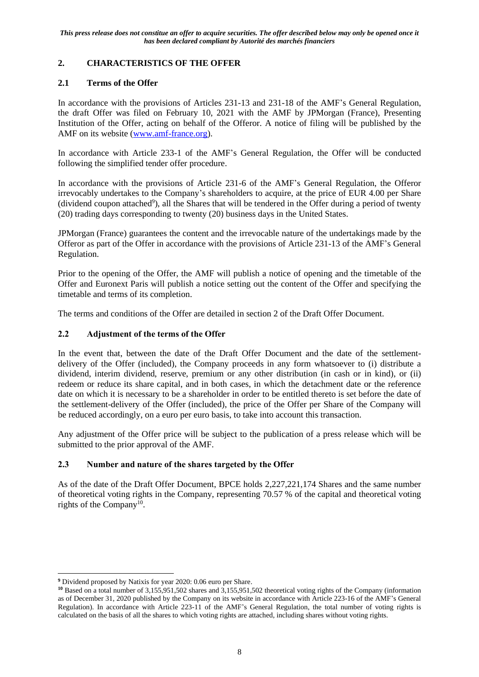## **2. CHARACTERISTICS OF THE OFFER**

## **2.1 Terms of the Offer**

In accordance with the provisions of Articles 231-13 and 231-18 of the AMF's General Regulation, the draft Offer was filed on February 10, 2021 with the AMF by JPMorgan (France), Presenting Institution of the Offer, acting on behalf of the Offeror. A notice of filing will be published by the AMF on its website (www.amf-france.org).

In accordance with Article 233-1 of the AMF's General Regulation, the Offer will be conducted following the simplified tender offer procedure.

In accordance with the provisions of Article 231-6 of the AMF's General Regulation, the Offeror irrevocably undertakes to the Company's shareholders to acquire, at the price of EUR 4.00 per Share (dividend coupon attached<sup>9</sup>), all the Shares that will be tendered in the Offer during a period of twenty (20) trading days corresponding to twenty (20) business days in the United States.

JPMorgan (France) guarantees the content and the irrevocable nature of the undertakings made by the Offeror as part of the Offer in accordance with the provisions of Article 231-13 of the AMF's General Regulation.

Prior to the opening of the Offer, the AMF will publish a notice of opening and the timetable of the Offer and Euronext Paris will publish a notice setting out the content of the Offer and specifying the timetable and terms of its completion.

The terms and conditions of the Offer are detailed in section 2 of the Draft Offer Document.

## **2.2 Adjustment of the terms of the Offer**

In the event that, between the date of the Draft Offer Document and the date of the settlementdelivery of the Offer (included), the Company proceeds in any form whatsoever to (i) distribute a dividend, interim dividend, reserve, premium or any other distribution (in cash or in kind), or (ii) redeem or reduce its share capital, and in both cases, in which the detachment date or the reference date on which it is necessary to be a shareholder in order to be entitled thereto is set before the date of the settlement-delivery of the Offer (included), the price of the Offer per Share of the Company will be reduced accordingly, on a euro per euro basis, to take into account this transaction.

Any adjustment of the Offer price will be subject to the publication of a press release which will be submitted to the prior approval of the AMF.

## **2.3 Number and nature of the shares targeted by the Offer**

As of the date of the Draft Offer Document, BPCE holds 2,227,221,174 Shares and the same number of theoretical voting rights in the Company, representing 70.57 % of the capital and theoretical voting rights of the Company<sup>10</sup>.

**<sup>9</sup>** Dividend proposed by Natixis for year 2020: 0.06 euro per Share.

**<sup>10</sup>** Based on a total number of 3,155,951,502 shares and 3,155,951,502 theoretical voting rights of the Company (information as of December 31, 2020 published by the Company on its website in accordance with Article 223-16 of the AMF's General Regulation). In accordance with Article 223-11 of the AMF's General Regulation, the total number of voting rights is calculated on the basis of all the shares to which voting rights are attached, including shares without voting rights.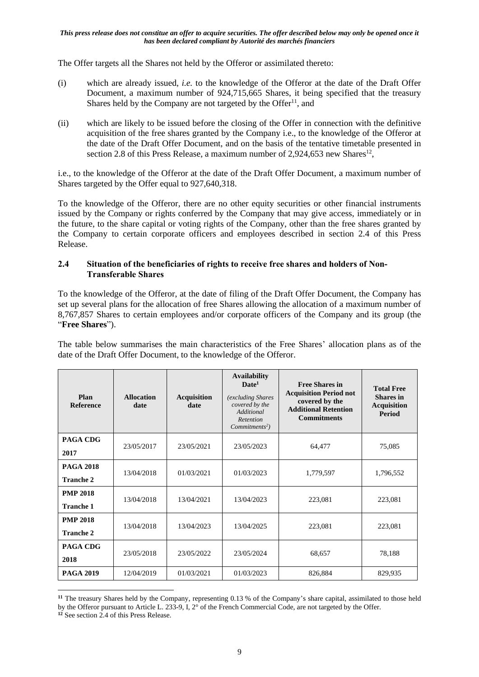The Offer targets all the Shares not held by the Offeror or assimilated thereto:

- (i) which are already issued, *i.e.* to the knowledge of the Offeror at the date of the Draft Offer Document, a maximum number of 924,715,665 Shares, it being specified that the treasury Shares held by the Company are not targeted by the Offer $<sup>11</sup>$ , and</sup>
- (ii) which are likely to be issued before the closing of the Offer in connection with the definitive acquisition of the free shares granted by the Company i.e., to the knowledge of the Offeror at the date of the Draft Offer Document, and on the basis of the tentative timetable presented in section 2.8 of this Press Release, a maximum number of 2,924,653 new Shares<sup>12</sup>,

i.e., to the knowledge of the Offeror at the date of the Draft Offer Document, a maximum number of Shares targeted by the Offer equal to 927,640,318.

To the knowledge of the Offeror, there are no other equity securities or other financial instruments issued by the Company or rights conferred by the Company that may give access, immediately or in the future, to the share capital or voting rights of the Company, other than the free shares granted by the Company to certain corporate officers and employees described in section 2.4 of this Press Release.

## **2.4 Situation of the beneficiaries of rights to receive free shares and holders of Non-Transferable Shares**

To the knowledge of the Offeror, at the date of filing of the Draft Offer Document, the Company has set up several plans for the allocation of free Shares allowing the allocation of a maximum number of 8,767,857 Shares to certain employees and/or corporate officers of the Company and its group (the "**Free Shares**").

The table below summarises the main characteristics of the Free Shares' allocation plans as of the date of the Draft Offer Document, to the knowledge of the Offeror.

| Plan<br><b>Reference</b>             | <b>Allocation</b><br>date | <b>Acquisition</b><br>date | <b>Availability</b><br>$\mathbf{Date}^1$<br>(excluding Shares<br>covered by the<br>Additional<br>Retention<br>Committers <sup>2</sup> ) | <b>Free Shares in</b><br><b>Acquisition Period not</b><br>covered by the<br><b>Additional Retention</b><br><b>Commitments</b> | <b>Total Free</b><br><b>Shares</b> in<br><b>Acquisition</b><br>Period |  |
|--------------------------------------|---------------------------|----------------------------|-----------------------------------------------------------------------------------------------------------------------------------------|-------------------------------------------------------------------------------------------------------------------------------|-----------------------------------------------------------------------|--|
| PAGA CDG<br>2017                     | 23/05/2017                | 23/05/2021                 | 23/05/2023                                                                                                                              | 64,477                                                                                                                        | 75,085                                                                |  |
| <b>PAGA 2018</b><br><b>Tranche 2</b> | 13/04/2018                | 01/03/2021                 | 01/03/2023                                                                                                                              | 1,779,597                                                                                                                     | 1,796,552                                                             |  |
| <b>PMP 2018</b><br><b>Tranche 1</b>  | 13/04/2018                | 13/04/2021                 | 13/04/2023                                                                                                                              | 223,081                                                                                                                       | 223,081                                                               |  |
| <b>PMP 2018</b><br><b>Tranche 2</b>  | 13/04/2018                | 13/04/2023                 | 13/04/2025                                                                                                                              | 223,081                                                                                                                       | 223,081                                                               |  |
| <b>PAGA CDG</b><br>2018              | 23/05/2018                | 23/05/2022                 | 23/05/2024                                                                                                                              | 68,657                                                                                                                        | 78,188                                                                |  |
| <b>PAGA 2019</b>                     | 12/04/2019                | 01/03/2021                 | 01/03/2023                                                                                                                              | 826,884                                                                                                                       | 829,935                                                               |  |

**<sup>11</sup>** The treasury Shares held by the Company, representing 0.13 % of the Company's share capital, assimilated to those held by the Offeror pursuant to Article L. 233-9, I, 2° of the French Commercial Code, are not targeted by the Offer.

<sup>&</sup>lt;sup>12</sup> See section 2.4 of this Press Release.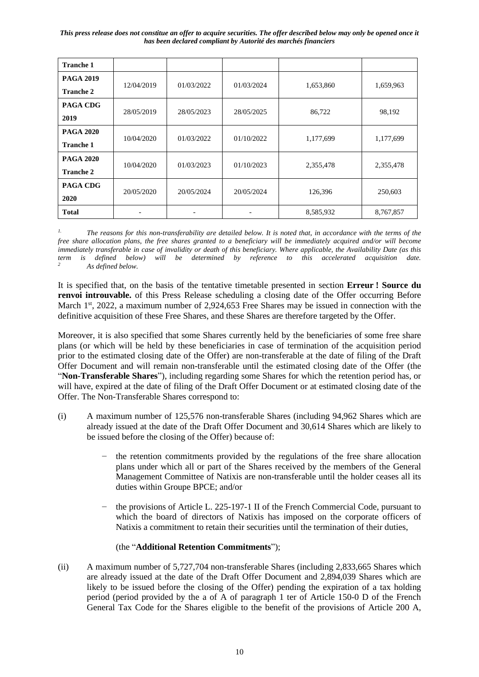| <b>Tranche 1</b> |            |            |            |           |           |  |  |
|------------------|------------|------------|------------|-----------|-----------|--|--|
| <b>PAGA 2019</b> | 12/04/2019 | 01/03/2022 | 01/03/2024 | 1,653,860 | 1,659,963 |  |  |
| <b>Tranche 2</b> |            |            |            |           |           |  |  |
| <b>PAGA CDG</b>  | 28/05/2019 | 28/05/2023 | 28/05/2025 | 86,722    | 98,192    |  |  |
| 2019             |            |            |            |           |           |  |  |
| <b>PAGA 2020</b> | 10/04/2020 | 01/03/2022 | 01/10/2022 |           |           |  |  |
| <b>Tranche 1</b> |            |            |            | 1,177,699 | 1,177,699 |  |  |
| <b>PAGA 2020</b> | 10/04/2020 | 01/03/2023 | 01/10/2023 | 2,355,478 | 2,355,478 |  |  |
| <b>Tranche 2</b> |            |            |            |           |           |  |  |
| <b>PAGA CDG</b>  |            |            |            |           |           |  |  |
| 2020             | 20/05/2020 | 20/05/2024 | 20/05/2024 | 126,396   | 250,603   |  |  |
| <b>Total</b>     |            |            |            | 8,585,932 | 8,767,857 |  |  |

*1. The reasons for this non-transferability are detailed below. It is noted that, in accordance with the terms of the free share allocation plans, the free shares granted to a beneficiary will be immediately acquired and/or will become immediately transferable in case of invalidity or death of this beneficiary. Where applicable, the Availability Date (as this term is defined below) will be determined by reference to this accelerated acquisition date. <sup>2</sup> As defined below.*

It is specified that, on the basis of the tentative timetable presented in section **Erreur ! Source du renvoi introuvable.** of this Press Release scheduling a closing date of the Offer occurring Before March 1<sup>st</sup>, 2022, a maximum number of 2,924,653 Free Shares may be issued in connection with the definitive acquisition of these Free Shares, and these Shares are therefore targeted by the Offer.

Moreover, it is also specified that some Shares currently held by the beneficiaries of some free share plans (or which will be held by these beneficiaries in case of termination of the acquisition period prior to the estimated closing date of the Offer) are non-transferable at the date of filing of the Draft Offer Document and will remain non-transferable until the estimated closing date of the Offer (the "**Non-Transferable Shares**"), including regarding some Shares for which the retention period has, or will have, expired at the date of filing of the Draft Offer Document or at estimated closing date of the Offer. The Non-Transferable Shares correspond to:

- (i) A maximum number of 125,576 non-transferable Shares (including 94,962 Shares which are already issued at the date of the Draft Offer Document and 30,614 Shares which are likely to be issued before the closing of the Offer) because of:
	- the retention commitments provided by the regulations of the free share allocation plans under which all or part of the Shares received by the members of the General Management Committee of Natixis are non-transferable until the holder ceases all its duties within Groupe BPCE; and/or
	- the provisions of Article L. 225-197-1 II of the French Commercial Code, pursuant to which the board of directors of Natixis has imposed on the corporate officers of Natixis a commitment to retain their securities until the termination of their duties,

## (the "**Additional Retention Commitments**");

(ii) A maximum number of 5,727,704 non-transferable Shares (including 2,833,665 Shares which are already issued at the date of the Draft Offer Document and 2,894,039 Shares which are likely to be issued before the closing of the Offer) pending the expiration of a tax holding period (period provided by the a of A of paragraph 1 ter of Article 150-0 D of the French General Tax Code for the Shares eligible to the benefit of the provisions of Article 200 A,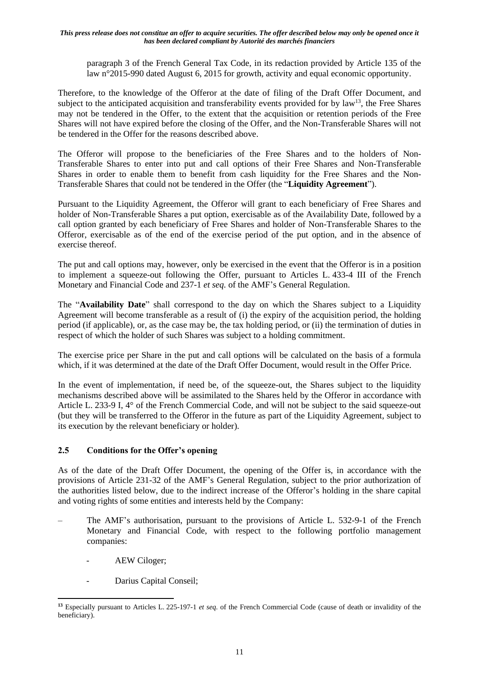paragraph 3 of the French General Tax Code, in its redaction provided by Article 135 of the law n°2015-990 dated August 6, 2015 for growth, activity and equal economic opportunity.

Therefore, to the knowledge of the Offeror at the date of filing of the Draft Offer Document, and subject to the anticipated acquisition and transferability events provided for by  $law^{13}$ , the Free Shares may not be tendered in the Offer, to the extent that the acquisition or retention periods of the Free Shares will not have expired before the closing of the Offer, and the Non-Transferable Shares will not be tendered in the Offer for the reasons described above.

The Offeror will propose to the beneficiaries of the Free Shares and to the holders of Non-Transferable Shares to enter into put and call options of their Free Shares and Non-Transferable Shares in order to enable them to benefit from cash liquidity for the Free Shares and the Non-Transferable Shares that could not be tendered in the Offer (the "**Liquidity Agreement**").

Pursuant to the Liquidity Agreement, the Offeror will grant to each beneficiary of Free Shares and holder of Non-Transferable Shares a put option, exercisable as of the Availability Date, followed by a call option granted by each beneficiary of Free Shares and holder of Non-Transferable Shares to the Offeror, exercisable as of the end of the exercise period of the put option, and in the absence of exercise thereof.

The put and call options may, however, only be exercised in the event that the Offeror is in a position to implement a squeeze-out following the Offer, pursuant to Articles L. 433-4 III of the French Monetary and Financial Code and 237-1 *et seq.* of the AMF's General Regulation.

The "**Availability Date**" shall correspond to the day on which the Shares subject to a Liquidity Agreement will become transferable as a result of (i) the expiry of the acquisition period, the holding period (if applicable), or, as the case may be, the tax holding period, or (ii) the termination of duties in respect of which the holder of such Shares was subject to a holding commitment.

The exercise price per Share in the put and call options will be calculated on the basis of a formula which, if it was determined at the date of the Draft Offer Document, would result in the Offer Price.

In the event of implementation, if need be, of the squeeze-out, the Shares subject to the liquidity mechanisms described above will be assimilated to the Shares held by the Offeror in accordance with Article L. 233-9 I, 4° of the French Commercial Code, and will not be subject to the said squeeze-out (but they will be transferred to the Offeror in the future as part of the Liquidity Agreement, subject to its execution by the relevant beneficiary or holder).

## **2.5 Conditions for the Offer's opening**

As of the date of the Draft Offer Document, the opening of the Offer is, in accordance with the provisions of Article 231-32 of the AMF's General Regulation, subject to the prior authorization of the authorities listed below, due to the indirect increase of the Offeror's holding in the share capital and voting rights of some entities and interests held by the Company:

- ‒ The AMF's authorisation, pursuant to the provisions of Article L. 532-9-1 of the French Monetary and Financial Code, with respect to the following portfolio management companies:
	- AEW Ciloger;
	- Darius Capital Conseil;

**<sup>13</sup>** Especially pursuant to Articles L. 225-197-1 *et seq.* of the French Commercial Code (cause of death or invalidity of the beneficiary).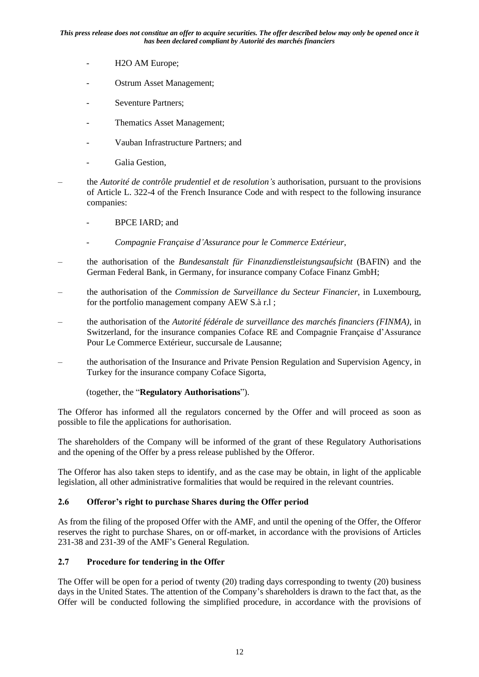- H2O AM Europe;
- Ostrum Asset Management;
- Seventure Partners;
- Thematics Asset Management;
- Vauban Infrastructure Partners; and
- Galia Gestion,
- ‒ the *Autorité de contrôle prudentiel et de resolution's* authorisation, pursuant to the provisions of Article L. 322-4 of the French Insurance Code and with respect to the following insurance companies:
	- BPCE IARD; and
	- *Compagnie Française d'Assurance pour le Commerce Extérieur*,
- ‒ the authorisation of the *Bundesanstalt für Finanzdienstleistungsaufsicht* (BAFIN) and the German Federal Bank, in Germany, for insurance company Coface Finanz GmbH;
- ‒ the authorisation of the *Commission de Surveillance du Secteur Financier*, in Luxembourg, for the portfolio management company AEW S.à r.l ;
- ‒ the authorisation of the *Autorité fédérale de surveillance des marchés financiers (FINMA)*, in Switzerland, for the insurance companies Coface RE and Compagnie Française d'Assurance Pour Le Commerce Extérieur, succursale de Lausanne;
- ‒ the authorisation of the Insurance and Private Pension Regulation and Supervision Agency, in Turkey for the insurance company Coface Sigorta,

(together, the "**Regulatory Authorisations**").

The Offeror has informed all the regulators concerned by the Offer and will proceed as soon as possible to file the applications for authorisation.

The shareholders of the Company will be informed of the grant of these Regulatory Authorisations and the opening of the Offer by a press release published by the Offeror.

The Offeror has also taken steps to identify, and as the case may be obtain, in light of the applicable legislation, all other administrative formalities that would be required in the relevant countries.

## **2.6 Offeror's right to purchase Shares during the Offer period**

As from the filing of the proposed Offer with the AMF, and until the opening of the Offer, the Offeror reserves the right to purchase Shares, on or off-market, in accordance with the provisions of Articles 231-38 and 231-39 of the AMF's General Regulation.

## **2.7 Procedure for tendering in the Offer**

The Offer will be open for a period of twenty (20) trading days corresponding to twenty (20) business days in the United States. The attention of the Company's shareholders is drawn to the fact that, as the Offer will be conducted following the simplified procedure, in accordance with the provisions of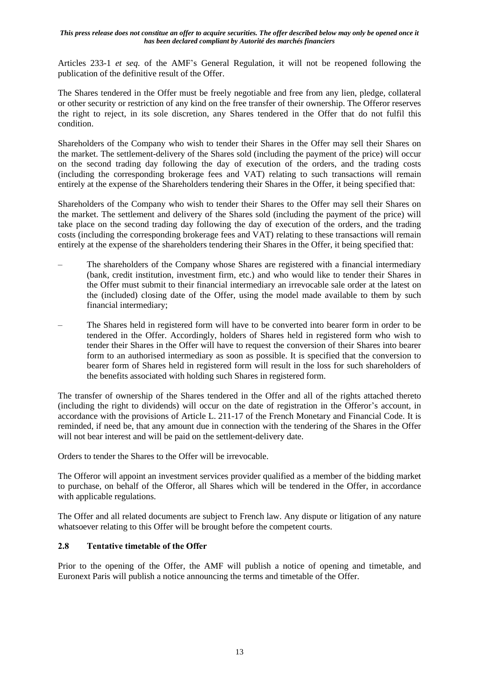Articles 233-1 *et seq.* of the AMF's General Regulation, it will not be reopened following the publication of the definitive result of the Offer.

The Shares tendered in the Offer must be freely negotiable and free from any lien, pledge, collateral or other security or restriction of any kind on the free transfer of their ownership. The Offeror reserves the right to reject, in its sole discretion, any Shares tendered in the Offer that do not fulfil this condition.

Shareholders of the Company who wish to tender their Shares in the Offer may sell their Shares on the market. The settlement-delivery of the Shares sold (including the payment of the price) will occur on the second trading day following the day of execution of the orders, and the trading costs (including the corresponding brokerage fees and VAT) relating to such transactions will remain entirely at the expense of the Shareholders tendering their Shares in the Offer, it being specified that:

Shareholders of the Company who wish to tender their Shares to the Offer may sell their Shares on the market. The settlement and delivery of the Shares sold (including the payment of the price) will take place on the second trading day following the day of execution of the orders, and the trading costs (including the corresponding brokerage fees and VAT) relating to these transactions will remain entirely at the expense of the shareholders tendering their Shares in the Offer, it being specified that:

- ‒ The shareholders of the Company whose Shares are registered with a financial intermediary (bank, credit institution, investment firm, etc.) and who would like to tender their Shares in the Offer must submit to their financial intermediary an irrevocable sale order at the latest on the (included) closing date of the Offer, using the model made available to them by such financial intermediary;
- ‒ The Shares held in registered form will have to be converted into bearer form in order to be tendered in the Offer. Accordingly, holders of Shares held in registered form who wish to tender their Shares in the Offer will have to request the conversion of their Shares into bearer form to an authorised intermediary as soon as possible. It is specified that the conversion to bearer form of Shares held in registered form will result in the loss for such shareholders of the benefits associated with holding such Shares in registered form.

The transfer of ownership of the Shares tendered in the Offer and all of the rights attached thereto (including the right to dividends) will occur on the date of registration in the Offeror's account, in accordance with the provisions of Article L. 211-17 of the French Monetary and Financial Code. It is reminded, if need be, that any amount due in connection with the tendering of the Shares in the Offer will not bear interest and will be paid on the settlement-delivery date.

Orders to tender the Shares to the Offer will be irrevocable.

The Offeror will appoint an investment services provider qualified as a member of the bidding market to purchase, on behalf of the Offeror, all Shares which will be tendered in the Offer, in accordance with applicable regulations.

The Offer and all related documents are subject to French law. Any dispute or litigation of any nature whatsoever relating to this Offer will be brought before the competent courts.

## **2.8 Tentative timetable of the Offer**

Prior to the opening of the Offer, the AMF will publish a notice of opening and timetable, and Euronext Paris will publish a notice announcing the terms and timetable of the Offer.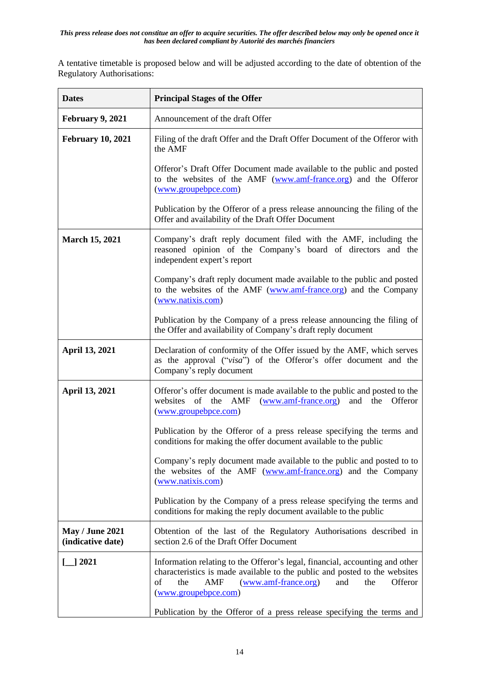A tentative timetable is proposed below and will be adjusted according to the date of obtention of the Regulatory Authorisations:

| <b>Dates</b>                                | <b>Principal Stages of the Offer</b>                                                                                                                                                                                                                    |  |  |  |  |
|---------------------------------------------|---------------------------------------------------------------------------------------------------------------------------------------------------------------------------------------------------------------------------------------------------------|--|--|--|--|
| <b>February 9, 2021</b>                     | Announcement of the draft Offer                                                                                                                                                                                                                         |  |  |  |  |
| <b>February 10, 2021</b>                    | Filing of the draft Offer and the Draft Offer Document of the Offeror with<br>the AMF                                                                                                                                                                   |  |  |  |  |
|                                             | Offeror's Draft Offer Document made available to the public and posted<br>to the websites of the AMF (www.amf-france.org) and the Offeror<br>(www.groupebpce.com)                                                                                       |  |  |  |  |
|                                             | Publication by the Offeror of a press release announcing the filing of the<br>Offer and availability of the Draft Offer Document                                                                                                                        |  |  |  |  |
| <b>March 15, 2021</b>                       | Company's draft reply document filed with the AMF, including the<br>reasoned opinion of the Company's board of directors and the<br>independent expert's report                                                                                         |  |  |  |  |
|                                             | Company's draft reply document made available to the public and posted<br>to the websites of the AMF (www.amf-france.org) and the Company<br>(www.natixis.com)                                                                                          |  |  |  |  |
|                                             | Publication by the Company of a press release announcing the filing of<br>the Offer and availability of Company's draft reply document                                                                                                                  |  |  |  |  |
| April 13, 2021                              | Declaration of conformity of the Offer issued by the AMF, which serves<br>as the approval ("visa") of the Offeror's offer document and the<br>Company's reply document                                                                                  |  |  |  |  |
| <b>April 13, 2021</b>                       | Offeror's offer document is made available to the public and posted to the<br>websites of the AMF<br>$(www.amf-frame.org)$<br>and<br>the<br>Offeror<br>(www.groupebpce.com)                                                                             |  |  |  |  |
|                                             | Publication by the Offeror of a press release specifying the terms and<br>conditions for making the offer document available to the public                                                                                                              |  |  |  |  |
|                                             | Company's reply document made available to the public and posted to to<br>the websites of the AMF (www.amf-france.org) and the Company<br>(www.natixis.com)                                                                                             |  |  |  |  |
|                                             | Publication by the Company of a press release specifying the terms and<br>conditions for making the reply document available to the public                                                                                                              |  |  |  |  |
| <b>May / June 2021</b><br>(indicative date) | Obtention of the last of the Regulatory Authorisations described in<br>section 2.6 of the Draft Offer Document                                                                                                                                          |  |  |  |  |
| <b>1</b> 2021                               | Information relating to the Offeror's legal, financial, accounting and other<br>characteristics is made available to the public and posted to the websites<br>(www.amf-france.org)<br>Offeror<br>of<br>the<br>AMF<br>and<br>the<br>(www.groupebpce.com) |  |  |  |  |
|                                             | Publication by the Offeror of a press release specifying the terms and                                                                                                                                                                                  |  |  |  |  |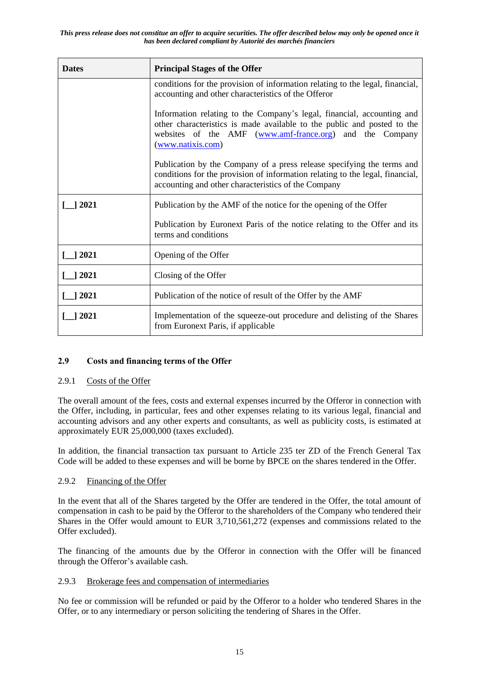| <b>Dates</b> | <b>Principal Stages of the Offer</b>                                                                                                                                                                                               |  |  |  |  |
|--------------|------------------------------------------------------------------------------------------------------------------------------------------------------------------------------------------------------------------------------------|--|--|--|--|
|              | conditions for the provision of information relating to the legal, financial,<br>accounting and other characteristics of the Offeror                                                                                               |  |  |  |  |
|              | Information relating to the Company's legal, financial, accounting and<br>other characteristics is made available to the public and posted to the<br>websites of the AMF (www.amf-france.org) and the Company<br>(www.natixis.com) |  |  |  |  |
|              | Publication by the Company of a press release specifying the terms and<br>conditions for the provision of information relating to the legal, financial,<br>accounting and other characteristics of the Company                     |  |  |  |  |
| <b>12021</b> | Publication by the AMF of the notice for the opening of the Offer                                                                                                                                                                  |  |  |  |  |
|              | Publication by Euronext Paris of the notice relating to the Offer and its<br>terms and conditions                                                                                                                                  |  |  |  |  |
| $-12021$     | Opening of the Offer                                                                                                                                                                                                               |  |  |  |  |
| 12021        | Closing of the Offer                                                                                                                                                                                                               |  |  |  |  |
| 12021        | Publication of the notice of result of the Offer by the AMF                                                                                                                                                                        |  |  |  |  |
| <b>12021</b> | Implementation of the squeeze-out procedure and delisting of the Shares<br>from Euronext Paris, if applicable                                                                                                                      |  |  |  |  |

## **2.9 Costs and financing terms of the Offer**

## 2.9.1 Costs of the Offer

The overall amount of the fees, costs and external expenses incurred by the Offeror in connection with the Offer, including, in particular, fees and other expenses relating to its various legal, financial and accounting advisors and any other experts and consultants, as well as publicity costs, is estimated at approximately EUR 25,000,000 (taxes excluded).

In addition, the financial transaction tax pursuant to Article 235 ter ZD of the French General Tax Code will be added to these expenses and will be borne by BPCE on the shares tendered in the Offer.

## 2.9.2 Financing of the Offer

In the event that all of the Shares targeted by the Offer are tendered in the Offer, the total amount of compensation in cash to be paid by the Offeror to the shareholders of the Company who tendered their Shares in the Offer would amount to EUR 3,710,561,272 (expenses and commissions related to the Offer excluded).

The financing of the amounts due by the Offeror in connection with the Offer will be financed through the Offeror's available cash.

## 2.9.3 Brokerage fees and compensation of intermediaries

No fee or commission will be refunded or paid by the Offeror to a holder who tendered Shares in the Offer, or to any intermediary or person soliciting the tendering of Shares in the Offer.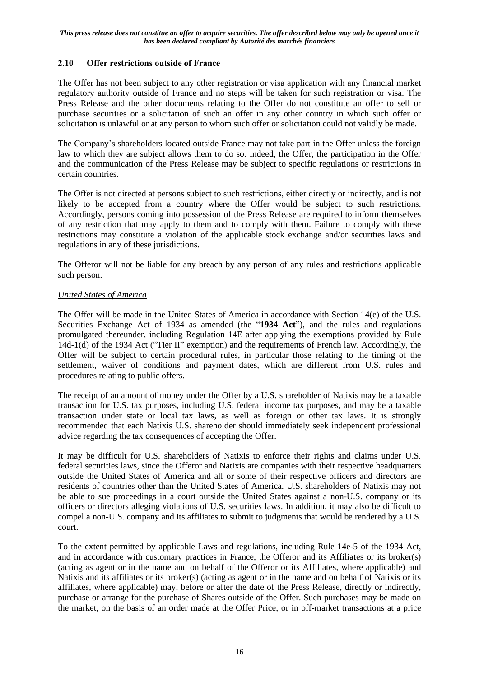## **2.10 Offer restrictions outside of France**

The Offer has not been subject to any other registration or visa application with any financial market regulatory authority outside of France and no steps will be taken for such registration or visa. The Press Release and the other documents relating to the Offer do not constitute an offer to sell or purchase securities or a solicitation of such an offer in any other country in which such offer or solicitation is unlawful or at any person to whom such offer or solicitation could not validly be made.

The Company's shareholders located outside France may not take part in the Offer unless the foreign law to which they are subject allows them to do so. Indeed, the Offer, the participation in the Offer and the communication of the Press Release may be subject to specific regulations or restrictions in certain countries.

The Offer is not directed at persons subject to such restrictions, either directly or indirectly, and is not likely to be accepted from a country where the Offer would be subject to such restrictions. Accordingly, persons coming into possession of the Press Release are required to inform themselves of any restriction that may apply to them and to comply with them. Failure to comply with these restrictions may constitute a violation of the applicable stock exchange and/or securities laws and regulations in any of these jurisdictions.

The Offeror will not be liable for any breach by any person of any rules and restrictions applicable such person.

## *United States of America*

The Offer will be made in the United States of America in accordance with Section 14(e) of the U.S. Securities Exchange Act of 1934 as amended (the "**1934 Act**"), and the rules and regulations promulgated thereunder, including Regulation 14E after applying the exemptions provided by Rule 14d-1(d) of the 1934 Act ("Tier II" exemption) and the requirements of French law. Accordingly, the Offer will be subject to certain procedural rules, in particular those relating to the timing of the settlement, waiver of conditions and payment dates, which are different from U.S. rules and procedures relating to public offers.

The receipt of an amount of money under the Offer by a U.S. shareholder of Natixis may be a taxable transaction for U.S. tax purposes, including U.S. federal income tax purposes, and may be a taxable transaction under state or local tax laws, as well as foreign or other tax laws. It is strongly recommended that each Natixis U.S. shareholder should immediately seek independent professional advice regarding the tax consequences of accepting the Offer.

It may be difficult for U.S. shareholders of Natixis to enforce their rights and claims under U.S. federal securities laws, since the Offeror and Natixis are companies with their respective headquarters outside the United States of America and all or some of their respective officers and directors are residents of countries other than the United States of America. U.S. shareholders of Natixis may not be able to sue proceedings in a court outside the United States against a non-U.S. company or its officers or directors alleging violations of U.S. securities laws. In addition, it may also be difficult to compel a non-U.S. company and its affiliates to submit to judgments that would be rendered by a U.S. court.

To the extent permitted by applicable Laws and regulations, including Rule 14e-5 of the 1934 Act, and in accordance with customary practices in France, the Offeror and its Affiliates or its broker(s) (acting as agent or in the name and on behalf of the Offeror or its Affiliates, where applicable) and Natixis and its affiliates or its broker(s) (acting as agent or in the name and on behalf of Natixis or its affiliates, where applicable) may, before or after the date of the Press Release, directly or indirectly, purchase or arrange for the purchase of Shares outside of the Offer. Such purchases may be made on the market, on the basis of an order made at the Offer Price, or in off-market transactions at a price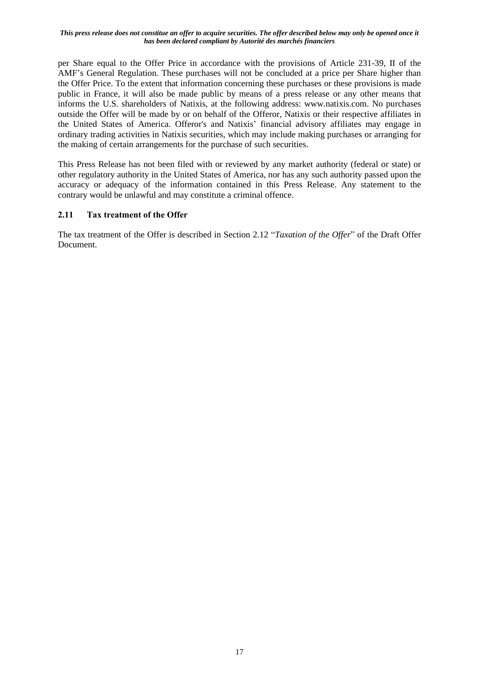per Share equal to the Offer Price in accordance with the provisions of Article 231-39, II of the AMF's General Regulation. These purchases will not be concluded at a price per Share higher than the Offer Price. To the extent that information concerning these purchases or these provisions is made public in France, it will also be made public by means of a press release or any other means that informs the U.S. shareholders of Natixis, at the following address: www.natixis.com. No purchases outside the Offer will be made by or on behalf of the Offeror, Natixis or their respective affiliates in the United States of America. Offeror's and Natixis' financial advisory affiliates may engage in ordinary trading activities in Natixis securities, which may include making purchases or arranging for the making of certain arrangements for the purchase of such securities.

This Press Release has not been filed with or reviewed by any market authority (federal or state) or other regulatory authority in the United States of America, nor has any such authority passed upon the accuracy or adequacy of the information contained in this Press Release. Any statement to the contrary would be unlawful and may constitute a criminal offence.

## **2.11 Tax treatment of the Offer**

The tax treatment of the Offer is described in Section 2.12 "*Taxation of the Offer*" of the Draft Offer Document.